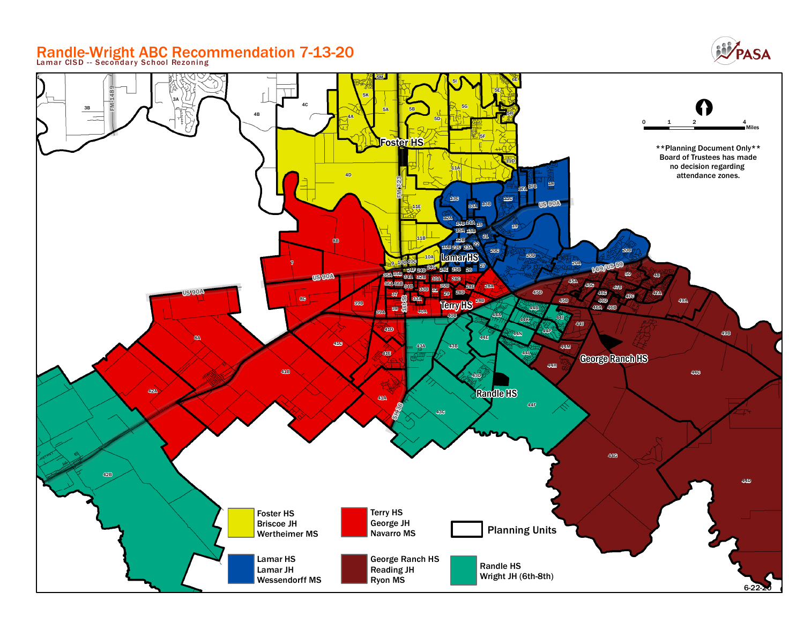## Randle-Wright ABC Recommendation 7-13-20 **Lamar CISD - - Secondar y School Rezoning**



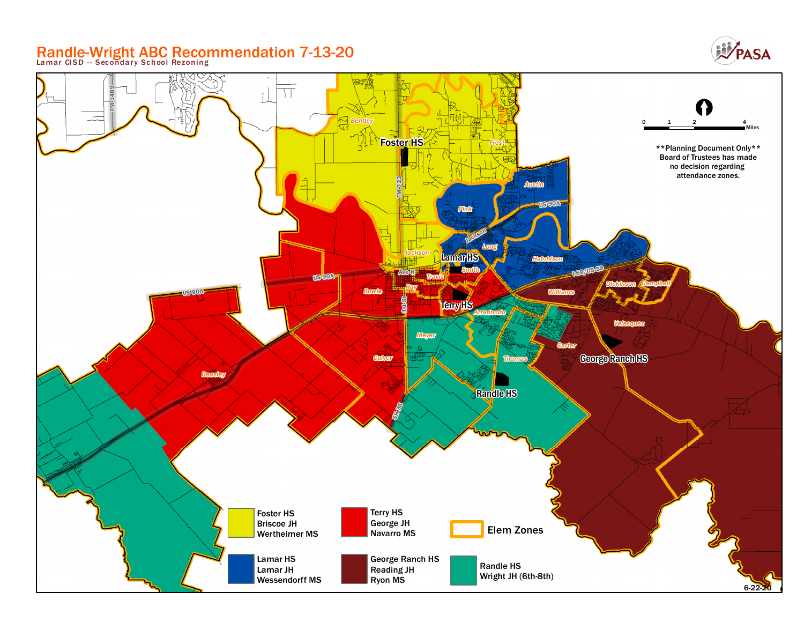### Randle-Wright ABC Recommendation 7-13-20 **Lamar CISD - - Secondar y School Rezoning**



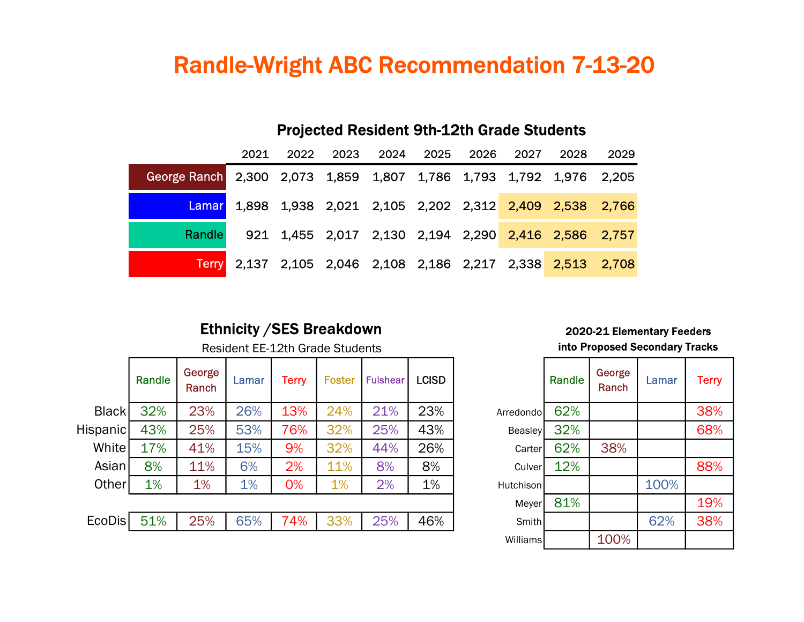# Randle-Wright ABC Recommendation 7-13-20

|                                                                    | 2021 |  |  |  |  |  |  | 2022 2023 2024 2025 2026 2027 2028                          | 2029 |
|--------------------------------------------------------------------|------|--|--|--|--|--|--|-------------------------------------------------------------|------|
| George Ranch 2,300 2,073 1,859 1,807 1,786 1,793 1,792 1,976 2,205 |      |  |  |  |  |  |  |                                                             |      |
| Lamar                                                              |      |  |  |  |  |  |  | 1,898 1,938 2,021 2,105 2,202 2,312 2,409 2,538 2,766       |      |
| Randle                                                             |      |  |  |  |  |  |  | 921 1,455 2,017 2,130 2,194 2,290 2,416 2,586 2,757         |      |
|                                                                    |      |  |  |  |  |  |  | Terry 2,137 2,105 2,046 2,108 2,186 2,217 2,338 2,513 2,708 |      |

### Projected Resident 9th-12th Grade Students

#### Ethnicity / SES Breakdown 2020-21 Elementary Feeders

|                 | Randle | George<br>Ranch | Lamar | Terry | <b>Foster</b> | <b>Fulshear</b> | <b>LCISD</b> |                | Randle | George<br>Ranch | Lamar | <b>Terry</b> |
|-----------------|--------|-----------------|-------|-------|---------------|-----------------|--------------|----------------|--------|-----------------|-------|--------------|
| Black           | 32%    | 23%             | 26%   | 13%   | 24%           | 21%             | 23%          | Arredondol     | 62%    |                 |       | 38%          |
| <b>Hispanic</b> | 43%    | 25%             | 53%   | 76%   | 32%           | 25%             | 43%          | <b>Beasley</b> | 32%    |                 |       | 68%          |
| White           | 17%    | 41%             | 15%   | 9%    | 32%           | 44%             | 26%          | Carter         | 62%    | 38%             |       |              |
| Asian           | 8%     | 11%             | 6%    | 2%    | 11%           | 8%              | 8%           | Culver         | 12%    |                 |       | 88%          |
| Other           | 1%     | 1%              | 1%    | 0%    | 1%            | 2%              | 1%           | Hutchison      |        |                 | 100%  |              |
|                 |        |                 |       |       |               |                 |              | Meyer          | 81%    |                 |       | 19%          |
| <b>EcoDis</b>   | 51%    | 25%             | 65%   | 74%   | 33%           | 25%             | 46%          | Smith          |        |                 | 62%   | 38%          |
|                 |        |                 |       |       |               |                 |              |                |        |                 |       |              |

# Resident EE-12th Grade Students **into Proposed Secondary Tracks**

|                | Randle | George<br>Ranch | Lamar | <b>Terry</b> |
|----------------|--------|-----------------|-------|--------------|
| Arredondo      | 62%    |                 |       | 38%          |
| <b>Beasley</b> | 32%    |                 |       | 68%          |
| Carter         | 62%    | 38%             |       |              |
| Culver         | 12%    |                 |       | 88%          |
| Hutchison      |        |                 | 100%  |              |
| Meyer          | 81%    |                 |       | 19%          |
| Smith          |        |                 | 62%   | 38%          |
| Williams       |        | 100%            |       |              |